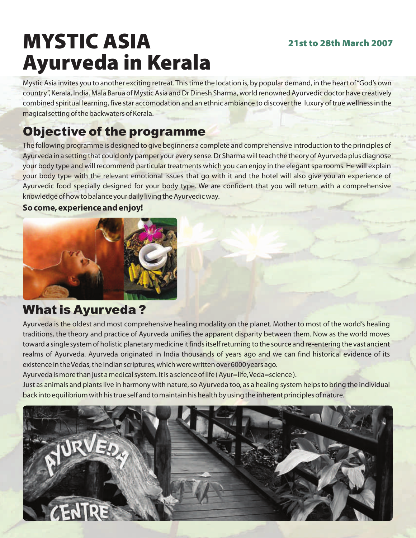### 21st to 28th March 2007

# MYSTIC ASIA Ayurveda in Kerala

Mystic Asia invites you to another exciting retreat. This time the location is, by popular demand, in the heart of "God's own country", Kerala, India. Mala Barua of Mystic Asia and Dr Dinesh Sharma, world renowned Ayurvedic doctor have creatively combined spiritual learning, five star accomodation and an ethnic ambiance to discover the luxury of true wellness in the magical setting of the backwaters of Kerala.

# Objective of the programme

The following programme is designed to give beginners a complete and comprehensive introduction to the principles of Ayurveda in a setting that could only pamper your every sense. Dr Sharma will teach the theory of Ayurveda plus diagnose your body type and will recommend particular treatments which you can enjoy in the elegant spa rooms. He will explain your body type with the relevant emotional issues that go with it and the hotel will also give you an experience of Ayurvedic food specially designed for your body type. We are confident that you will return with a comprehensive knowledge of how to balance your daily living the Ayurvedic way.

### **So come, experience and enjoy!**



### What is Ayurveda ?

Ayurveda is the oldest and most comprehensive healing modality on the planet. Mother to most of the world's healing traditions, the theory and practice of Ayurveda unifies the apparent disparity between them. Now as the world moves toward a single system of holistic planetary medicine it finds itself returning to the source and re-entering the vast ancient realms of Ayurveda. Ayurveda originated in India thousands of years ago and we can find historical evidence of its existence in the Vedas, the Indian scriptures, which were written over 6000 years ago.

Ayurveda is more than just a medical system. It is a science of life ( Ayur=life, Veda=science ).

Just as animals and plants live in harmony with nature, so Ayurveda too, as a healing system helps to bring the individual back into equilibrium with his true self and to maintain his health by using the inherent principles of nature.

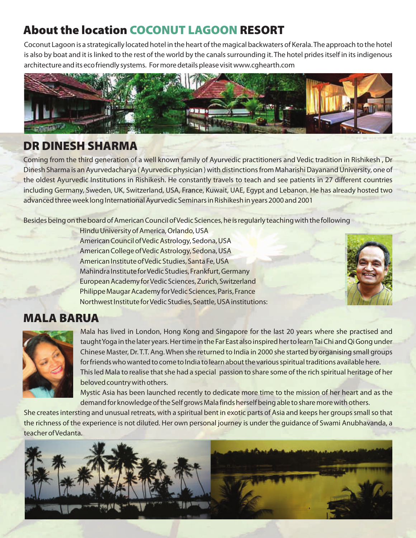## About the location COCONUT LAGOON RESORT

Coconut Lagoon is a strategically located hotel in the heart of the magical backwaters of Kerala. The approach to the hotel is also by boat and it is linked to the rest of the world by the canals surrounding it. The hotel prides itself in its indigenous architecture and its eco friendly systems. For more details please visit www.cghearth.com



### DR DINESH SHARMA

Coming from the third generation of a well known family of Ayurvedic practitioners and Vedic tradition in Rishikesh , Dr Dinesh Sharma is an Ayurvedacharya ( Ayurvedic physician ) with distinctions from Maharishi Dayanand University, one of the oldest Ayurvedic Institutions in Rishikesh. He constantly travels to teach and see patients in 27 different countries including Germany, Sweden, UK, Switzerland, USA, France, Kuwait, UAE, Egypt and Lebanon. He has already hosted two advanced three week long International Ayurvedic Seminars in Rishikesh in years 2000 and 2001

Besides being on the board of American Council of Vedic Sciences, he is regularly teaching with the following

Hindu University of America, Orlando, USA American Council of Vedic Astrology, Sedona, USA American College of Vedic Astrology, Sedona, USA American Institute of Vedic Studies, Santa Fe, USA Mahindra Institute for Vedic Studies, Frankfurt, Germany European Academy for Vedic Sciences, Zurich, Switzerland Philippe Maugar Academy for Vedic Sciences, Paris, France Northwest Institute for Vedic Studies, Seattle, USA institutions:



### MALA BARUA



Mala has lived in London, Hong Kong and Singapore for the last 20 years where she practised and taught Yoga in the later years. Her time in the Far East also inspired her to learn Tai Chi and Qi Gong under Chinese Master, Dr. T.T. Ang. When she returned to India in 2000 she started by organising small groups for friends who wanted to come to India to learn about the various spiritual traditions available here. This led Mala to realise that she had a special passion to share some of the rich spiritual heritage of her beloved country with others.

Mystic Asia has been launched recently to dedicate more time to the mission of her heart and as the demand for knowledge of the Self grows Mala finds herself being able to share more with others.

She creates intersting and unusual retreats, with a spiritual bent in exotic parts of Asia and keeps her groups small so that the richness of the experience is not diluted. Her own personal journey is under the guidance of Swami Anubhavanda, a teacher of Vedanta.